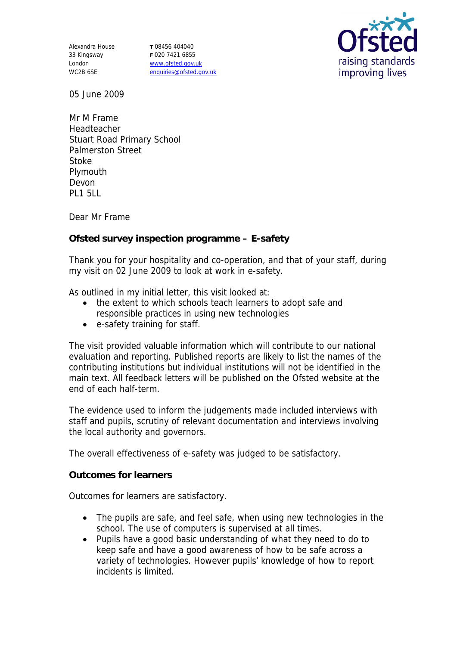Alexandra House 33 Kingsway London WC2B 6SE

**T** 08456 404040 **F** 020 7421 6855 www.ofsted.gov.uk enquiries@ofsted.gov.uk



05 June 2009

Mr M Frame Headteacher Stuart Road Primary School Palmerston Street Stoke Plymouth Devon PL1 5LL

Dear Mr Frame

**Ofsted survey inspection programme – E-safety**

Thank you for your hospitality and co-operation, and that of your staff, during my visit on 02 June 2009 to look at work in e-safety.

As outlined in my initial letter, this visit looked at:

- the extent to which schools teach learners to adopt safe and responsible practices in using new technologies
- e-safety training for staff.

The visit provided valuable information which will contribute to our national evaluation and reporting. Published reports are likely to list the names of the contributing institutions but individual institutions will not be identified in the main text. All feedback letters will be published on the Ofsted website at the end of each half-term.

The evidence used to inform the judgements made included interviews with staff and pupils, scrutiny of relevant documentation and interviews involving the local authority and governors.

The overall effectiveness of e-safety was judged to be satisfactory.

**Outcomes for learners**

Outcomes for learners are satisfactory.

- The pupils are safe, and feel safe, when using new technologies in the school. The use of computers is supervised at all times.
- Pupils have a good basic understanding of what they need to do to keep safe and have a good awareness of how to be safe across a variety of technologies. However pupils' knowledge of how to report incidents is limited.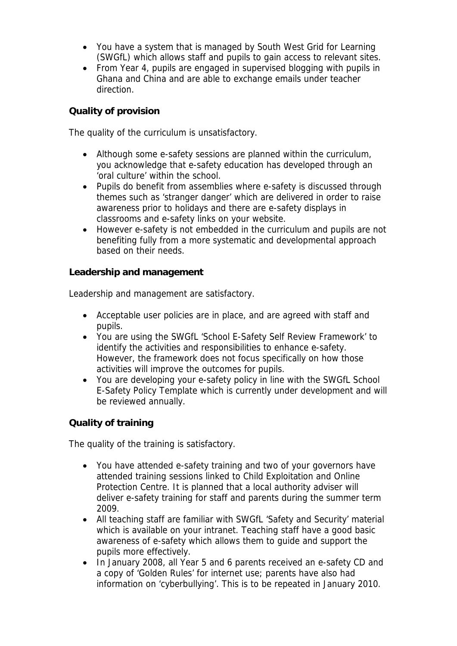- You have a system that is managed by South West Grid for Learning (SWGfL) which allows staff and pupils to gain access to relevant sites.
- From Year 4, pupils are engaged in supervised blogging with pupils in Ghana and China and are able to exchange emails under teacher direction.

## **Quality of provision**

The quality of the curriculum is unsatisfactory.

- Although some e-safety sessions are planned within the curriculum, you acknowledge that e-safety education has developed through an 'oral culture' within the school.
- Pupils do benefit from assemblies where e-safety is discussed through themes such as 'stranger danger' which are delivered in order to raise awareness prior to holidays and there are e-safety displays in classrooms and e-safety links on your website.
- However e-safety is not embedded in the curriculum and pupils are not benefiting fully from a more systematic and developmental approach based on their needs.

**Leadership and management** 

Leadership and management are satisfactory.

- Acceptable user policies are in place, and are agreed with staff and pupils.
- You are using the SWGfL 'School E-Safety Self Review Framework' to identify the activities and responsibilities to enhance e-safety. However, the framework does not focus specifically on how those activities will improve the outcomes for pupils.
- You are developing your e-safety policy in line with the SWGfL School E-Safety Policy Template which is currently under development and will be reviewed annually.

## **Quality of training**

The quality of the training is satisfactory.

- You have attended e-safety training and two of your governors have attended training sessions linked to Child Exploitation and Online Protection Centre. It is planned that a local authority adviser will deliver e-safety training for staff and parents during the summer term 2009.
- All teaching staff are familiar with SWGfL 'Safety and Security' material which is available on your intranet. Teaching staff have a good basic awareness of e-safety which allows them to guide and support the pupils more effectively.
- In January 2008, all Year 5 and 6 parents received an e-safety CD and a copy of 'Golden Rules' for internet use; parents have also had information on 'cyberbullying'. This is to be repeated in January 2010.